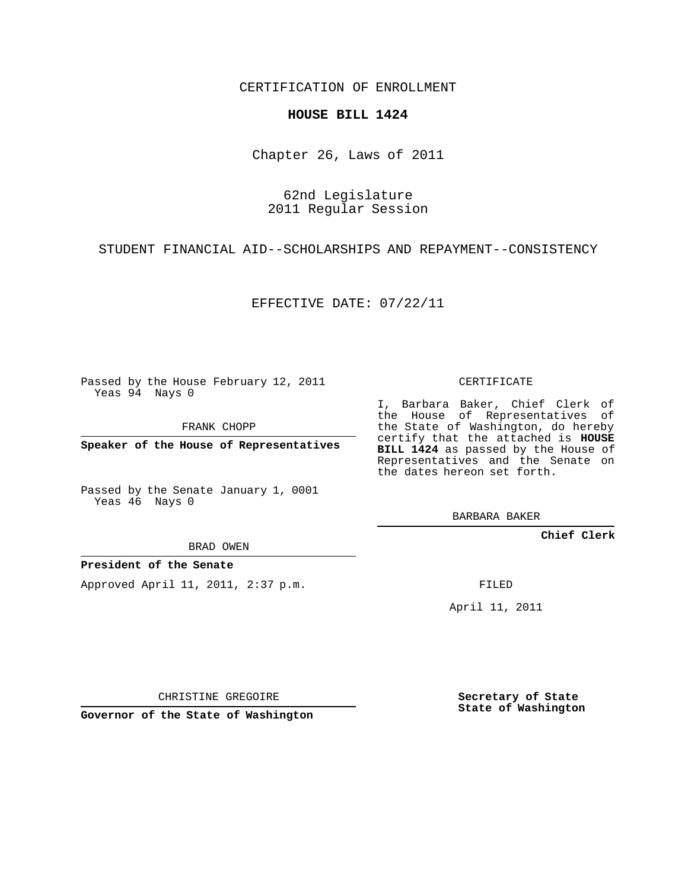CERTIFICATION OF ENROLLMENT

## **HOUSE BILL 1424**

Chapter 26, Laws of 2011

62nd Legislature 2011 Regular Session

STUDENT FINANCIAL AID--SCHOLARSHIPS AND REPAYMENT--CONSISTENCY

EFFECTIVE DATE: 07/22/11

Passed by the House February 12, 2011 Yeas 94 Nays 0

FRANK CHOPP

**Speaker of the House of Representatives**

Passed by the Senate January 1, 0001 Yeas 46 Nays 0

BRAD OWEN

## **President of the Senate**

Approved April 11, 2011, 2:37 p.m.

CERTIFICATE

I, Barbara Baker, Chief Clerk of the House of Representatives of the State of Washington, do hereby certify that the attached is **HOUSE BILL 1424** as passed by the House of Representatives and the Senate on the dates hereon set forth.

BARBARA BAKER

**Chief Clerk**

FILED

April 11, 2011

CHRISTINE GREGOIRE

**Governor of the State of Washington**

**Secretary of State State of Washington**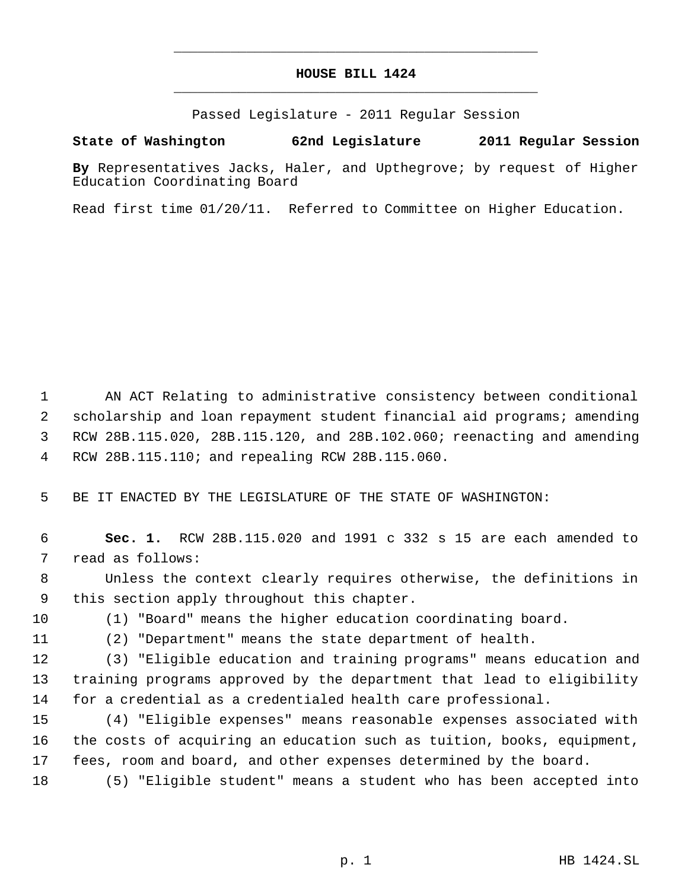## **HOUSE BILL 1424** \_\_\_\_\_\_\_\_\_\_\_\_\_\_\_\_\_\_\_\_\_\_\_\_\_\_\_\_\_\_\_\_\_\_\_\_\_\_\_\_\_\_\_\_\_

\_\_\_\_\_\_\_\_\_\_\_\_\_\_\_\_\_\_\_\_\_\_\_\_\_\_\_\_\_\_\_\_\_\_\_\_\_\_\_\_\_\_\_\_\_

Passed Legislature - 2011 Regular Session

## **State of Washington 62nd Legislature 2011 Regular Session**

**By** Representatives Jacks, Haler, and Upthegrove; by request of Higher Education Coordinating Board

Read first time 01/20/11. Referred to Committee on Higher Education.

 AN ACT Relating to administrative consistency between conditional scholarship and loan repayment student financial aid programs; amending RCW 28B.115.020, 28B.115.120, and 28B.102.060; reenacting and amending RCW 28B.115.110; and repealing RCW 28B.115.060.

BE IT ENACTED BY THE LEGISLATURE OF THE STATE OF WASHINGTON:

 **Sec. 1.** RCW 28B.115.020 and 1991 c 332 s 15 are each amended to read as follows:

 Unless the context clearly requires otherwise, the definitions in this section apply throughout this chapter.

(1) "Board" means the higher education coordinating board.

(2) "Department" means the state department of health.

 (3) "Eligible education and training programs" means education and training programs approved by the department that lead to eligibility for a credential as a credentialed health care professional.

 (4) "Eligible expenses" means reasonable expenses associated with the costs of acquiring an education such as tuition, books, equipment, fees, room and board, and other expenses determined by the board.

(5) "Eligible student" means a student who has been accepted into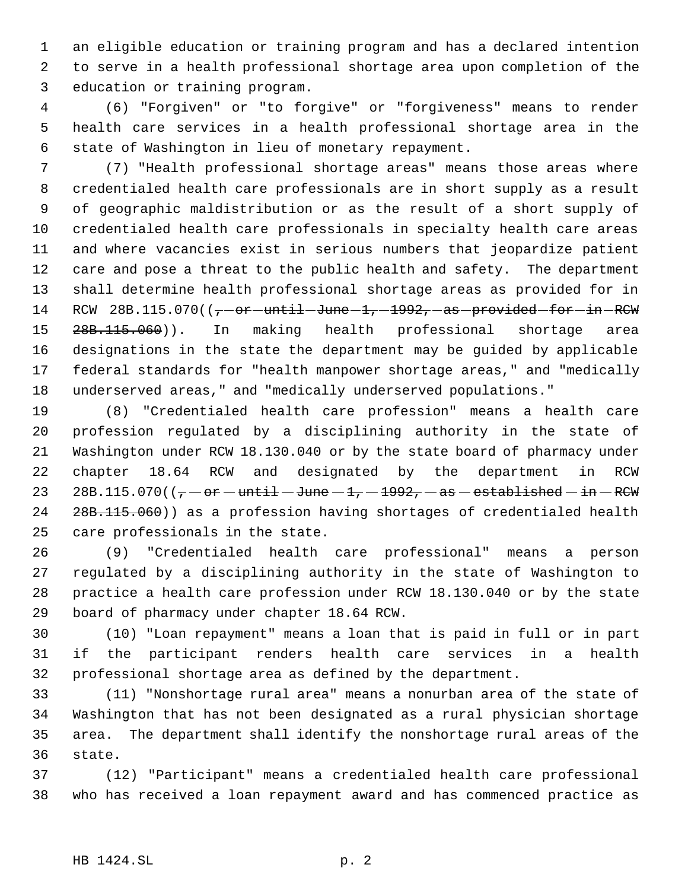an eligible education or training program and has a declared intention to serve in a health professional shortage area upon completion of the education or training program.

 (6) "Forgiven" or "to forgive" or "forgiveness" means to render health care services in a health professional shortage area in the state of Washington in lieu of monetary repayment.

 (7) "Health professional shortage areas" means those areas where credentialed health care professionals are in short supply as a result of geographic maldistribution or as the result of a short supply of credentialed health care professionals in specialty health care areas and where vacancies exist in serious numbers that jeopardize patient care and pose a threat to the public health and safety. The department shall determine health professional shortage areas as provided for in 14 RCW  $28B.115.070$  ( $(-\text{or}-\text{until}-\text{June}-1,-1992,-\text{as}-\text{provided}-\text{for}-\text{in}-\text{RCW})$ 15 28B.115.060)). In making health professional shortage area designations in the state the department may be guided by applicable federal standards for "health manpower shortage areas," and "medically underserved areas," and "medically underserved populations."

 (8) "Credentialed health care profession" means a health care profession regulated by a disciplining authority in the state of Washington under RCW 18.130.040 or by the state board of pharmacy under chapter 18.64 RCW and designated by the department in RCW 23 28B.115.070( $(-\text{or}-\text{until}-\text{June}-1,-1992,-\text{as}-\text{established}-\text{in}-\text{RCW})$  28B.115.060)) as a profession having shortages of credentialed health care professionals in the state.

 (9) "Credentialed health care professional" means a person regulated by a disciplining authority in the state of Washington to practice a health care profession under RCW 18.130.040 or by the state board of pharmacy under chapter 18.64 RCW.

 (10) "Loan repayment" means a loan that is paid in full or in part if the participant renders health care services in a health professional shortage area as defined by the department.

 (11) "Nonshortage rural area" means a nonurban area of the state of Washington that has not been designated as a rural physician shortage area. The department shall identify the nonshortage rural areas of the state.

 (12) "Participant" means a credentialed health care professional who has received a loan repayment award and has commenced practice as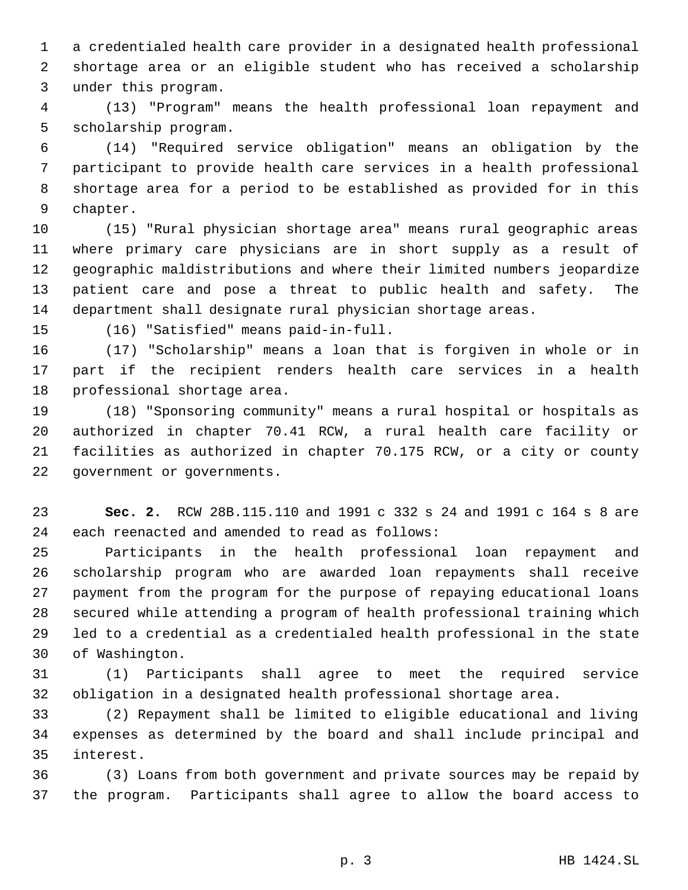a credentialed health care provider in a designated health professional shortage area or an eligible student who has received a scholarship under this program.

 (13) "Program" means the health professional loan repayment and scholarship program.

 (14) "Required service obligation" means an obligation by the participant to provide health care services in a health professional shortage area for a period to be established as provided for in this chapter.

 (15) "Rural physician shortage area" means rural geographic areas where primary care physicians are in short supply as a result of geographic maldistributions and where their limited numbers jeopardize patient care and pose a threat to public health and safety. The department shall designate rural physician shortage areas.

(16) "Satisfied" means paid-in-full.

 (17) "Scholarship" means a loan that is forgiven in whole or in part if the recipient renders health care services in a health professional shortage area.

 (18) "Sponsoring community" means a rural hospital or hospitals as authorized in chapter 70.41 RCW, a rural health care facility or facilities as authorized in chapter 70.175 RCW, or a city or county government or governments.

 **Sec. 2.** RCW 28B.115.110 and 1991 c 332 s 24 and 1991 c 164 s 8 are each reenacted and amended to read as follows:

 Participants in the health professional loan repayment and scholarship program who are awarded loan repayments shall receive payment from the program for the purpose of repaying educational loans secured while attending a program of health professional training which led to a credential as a credentialed health professional in the state of Washington.

 (1) Participants shall agree to meet the required service obligation in a designated health professional shortage area.

 (2) Repayment shall be limited to eligible educational and living expenses as determined by the board and shall include principal and interest.

 (3) Loans from both government and private sources may be repaid by the program. Participants shall agree to allow the board access to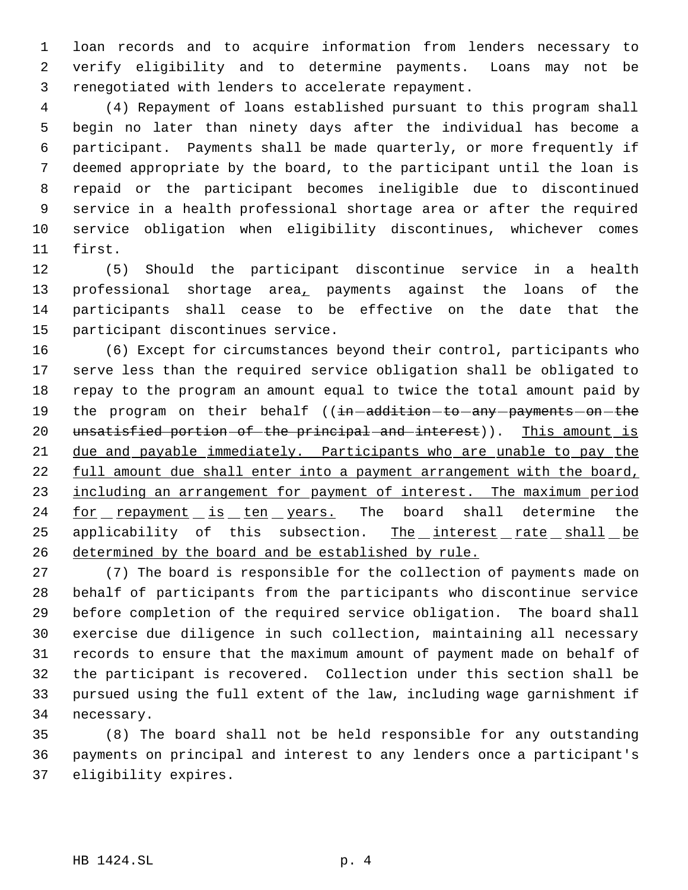loan records and to acquire information from lenders necessary to verify eligibility and to determine payments. Loans may not be renegotiated with lenders to accelerate repayment.

 (4) Repayment of loans established pursuant to this program shall begin no later than ninety days after the individual has become a participant. Payments shall be made quarterly, or more frequently if deemed appropriate by the board, to the participant until the loan is repaid or the participant becomes ineligible due to discontinued service in a health professional shortage area or after the required service obligation when eligibility discontinues, whichever comes first.

 (5) Should the participant discontinue service in a health 13 professional shortage area<sub>r</sub> payments against the loans of the participants shall cease to be effective on the date that the participant discontinues service.

 (6) Except for circumstances beyond their control, participants who serve less than the required service obligation shall be obligated to repay to the program an amount equal to twice the total amount paid by 19 the program on their behalf ((in-addition-to-any-payments-on-the 20 unsatisfied portion of the principal and interest)). This amount is 21 due and payable immediately. Participants who are unable to pay the 22 full amount due shall enter into a payment arrangement with the board, 23 including an arrangement for payment of interest. The maximum period 24 for repayment is ten years. The board shall determine the applicability of this subsection. The interest rate shall be determined by the board and be established by rule.

 (7) The board is responsible for the collection of payments made on behalf of participants from the participants who discontinue service before completion of the required service obligation. The board shall exercise due diligence in such collection, maintaining all necessary records to ensure that the maximum amount of payment made on behalf of the participant is recovered. Collection under this section shall be pursued using the full extent of the law, including wage garnishment if necessary.

 (8) The board shall not be held responsible for any outstanding payments on principal and interest to any lenders once a participant's eligibility expires.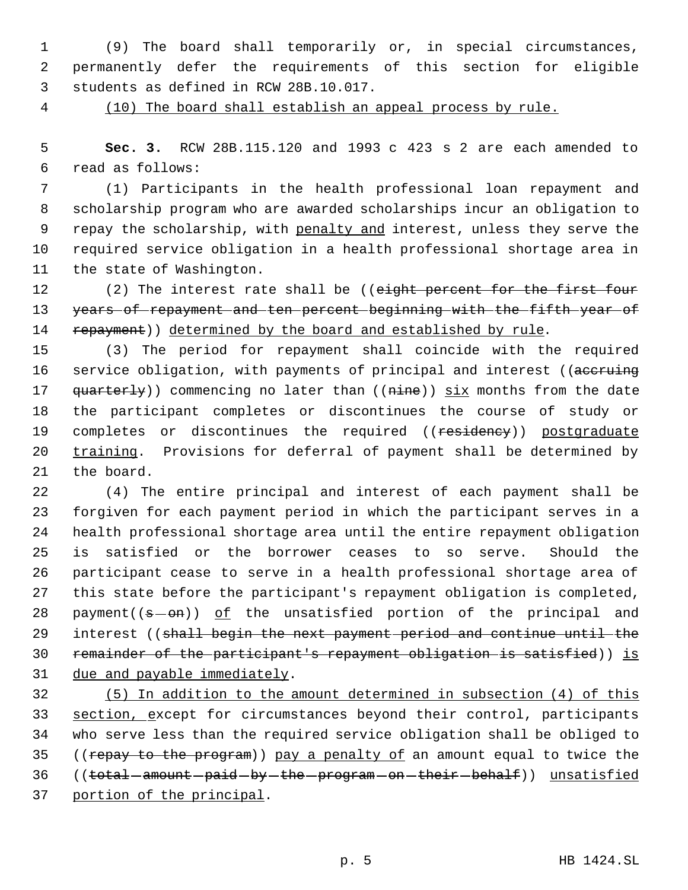(9) The board shall temporarily or, in special circumstances, permanently defer the requirements of this section for eligible students as defined in RCW 28B.10.017.

(10) The board shall establish an appeal process by rule.

 **Sec. 3.** RCW 28B.115.120 and 1993 c 423 s 2 are each amended to read as follows:

 (1) Participants in the health professional loan repayment and scholarship program who are awarded scholarships incur an obligation to 9 repay the scholarship, with penalty and interest, unless they serve the required service obligation in a health professional shortage area in the state of Washington.

12 (2) The interest rate shall be ((eight percent for the first four years of repayment and ten percent beginning with the fifth year of 14 repayment)) determined by the board and established by rule.

 (3) The period for repayment shall coincide with the required 16 service obligation, with payments of principal and interest ((accruing 17 quarterly)) commencing no later than ((nine)) six months from the date the participant completes or discontinues the course of study or 19 completes or discontinues the required ((residency)) postgraduate 20 training. Provisions for deferral of payment shall be determined by the board.

 (4) The entire principal and interest of each payment shall be forgiven for each payment period in which the participant serves in a health professional shortage area until the entire repayment obligation is satisfied or the borrower ceases to so serve. Should the participant cease to serve in a health professional shortage area of this state before the participant's repayment obligation is completed, 28 payment( $(s - \theta n)$ ) of the unsatisfied portion of the principal and 29 interest ((shall begin the next payment period and continue until the 30 remainder of the participant's repayment obligation is satisfied)) is due and payable immediately.

 (5) In addition to the amount determined in subsection (4) of this 33 section, except for circumstances beyond their control, participants who serve less than the required service obligation shall be obliged to 35 ((repay to the program)) pay a penalty of an amount equal to twice the 36 ((total-amount-paid-by-the-program-on-their-behalf)) unsatisfied portion of the principal.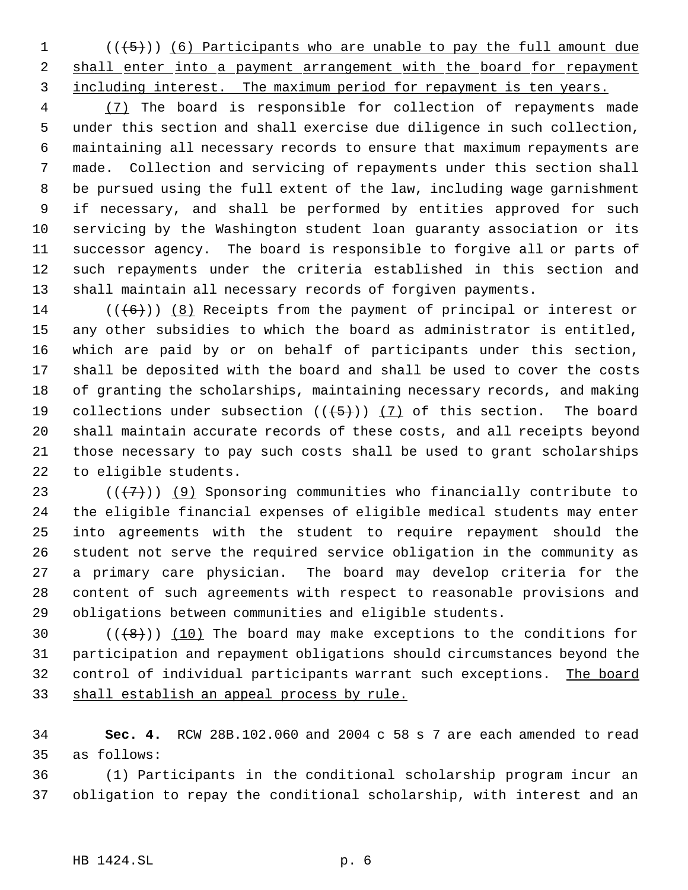(( $\{5\}$ )) (6) Participants who are unable to pay the full amount due 2 shall enter into a payment arrangement with the board for repayment 3 including interest. The maximum period for repayment is ten years.

 (7) The board is responsible for collection of repayments made under this section and shall exercise due diligence in such collection, maintaining all necessary records to ensure that maximum repayments are made. Collection and servicing of repayments under this section shall be pursued using the full extent of the law, including wage garnishment if necessary, and shall be performed by entities approved for such servicing by the Washington student loan guaranty association or its successor agency. The board is responsible to forgive all or parts of such repayments under the criteria established in this section and shall maintain all necessary records of forgiven payments.

 $((\langle 6 \rangle) )$  (8) Receipts from the payment of principal or interest or any other subsidies to which the board as administrator is entitled, which are paid by or on behalf of participants under this section, shall be deposited with the board and shall be used to cover the costs of granting the scholarships, maintaining necessary records, and making 19 collections under subsection  $((+5))$   $(7)$  of this section. The board shall maintain accurate records of these costs, and all receipts beyond those necessary to pay such costs shall be used to grant scholarships to eligible students.

23 ( $(\overline{+7})$ ) (9) Sponsoring communities who financially contribute to the eligible financial expenses of eligible medical students may enter into agreements with the student to require repayment should the student not serve the required service obligation in the community as a primary care physician. The board may develop criteria for the content of such agreements with respect to reasonable provisions and obligations between communities and eligible students.

 $((+8))$   $(10)$  The board may make exceptions to the conditions for participation and repayment obligations should circumstances beyond the control of individual participants warrant such exceptions. The board 33 shall establish an appeal process by rule.

 **Sec. 4.** RCW 28B.102.060 and 2004 c 58 s 7 are each amended to read as follows:

 (1) Participants in the conditional scholarship program incur an obligation to repay the conditional scholarship, with interest and an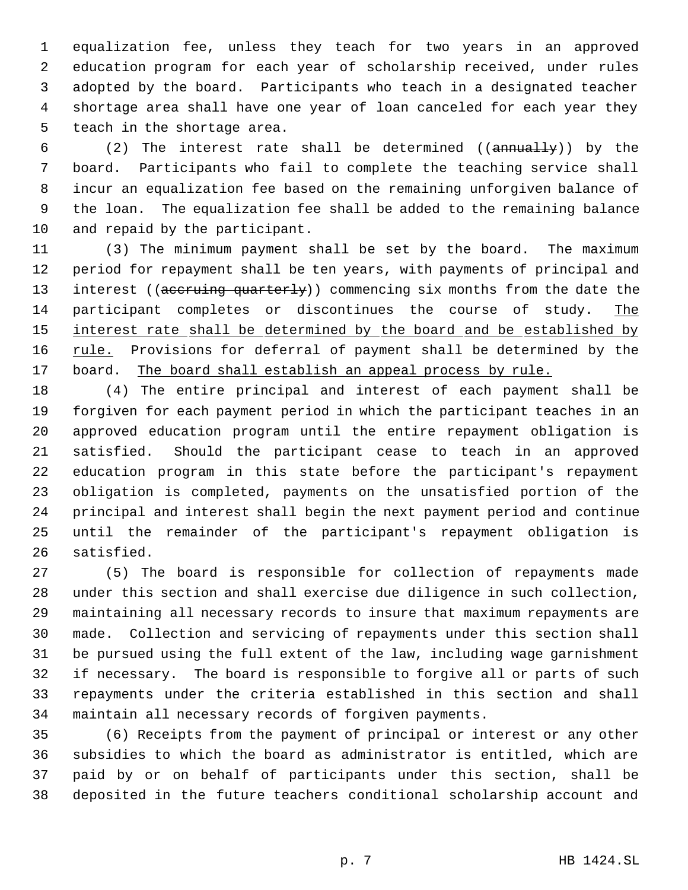equalization fee, unless they teach for two years in an approved education program for each year of scholarship received, under rules adopted by the board. Participants who teach in a designated teacher shortage area shall have one year of loan canceled for each year they teach in the shortage area.

 (2) The interest rate shall be determined ((annually)) by the board. Participants who fail to complete the teaching service shall incur an equalization fee based on the remaining unforgiven balance of the loan. The equalization fee shall be added to the remaining balance and repaid by the participant.

 (3) The minimum payment shall be set by the board. The maximum period for repayment shall be ten years, with payments of principal and 13 interest ((accruing quarterly)) commencing six months from the date the 14 participant completes or discontinues the course of study. The 15 interest rate shall be determined by the board and be established by 16 rule. Provisions for deferral of payment shall be determined by the 17 board. The board shall establish an appeal process by rule.

 (4) The entire principal and interest of each payment shall be forgiven for each payment period in which the participant teaches in an approved education program until the entire repayment obligation is satisfied. Should the participant cease to teach in an approved education program in this state before the participant's repayment obligation is completed, payments on the unsatisfied portion of the principal and interest shall begin the next payment period and continue until the remainder of the participant's repayment obligation is satisfied.

 (5) The board is responsible for collection of repayments made under this section and shall exercise due diligence in such collection, maintaining all necessary records to insure that maximum repayments are made. Collection and servicing of repayments under this section shall be pursued using the full extent of the law, including wage garnishment if necessary. The board is responsible to forgive all or parts of such repayments under the criteria established in this section and shall maintain all necessary records of forgiven payments.

 (6) Receipts from the payment of principal or interest or any other subsidies to which the board as administrator is entitled, which are paid by or on behalf of participants under this section, shall be deposited in the future teachers conditional scholarship account and